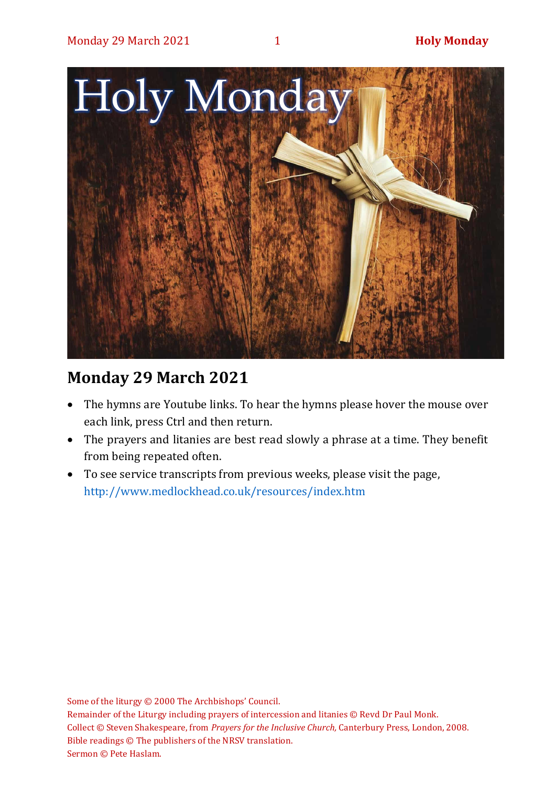

# **Monday 29 March 2021**

- The hymns are Youtube links. To hear the hymns please hover the mouse over each link, press Ctrl and then return.
- The prayers and litanies are best read slowly a phrase at a time. They benefit from being repeated often.
- To see service transcripts from previous weeks, please visit the page, <http://www.medlockhead.co.uk/resources/index.htm>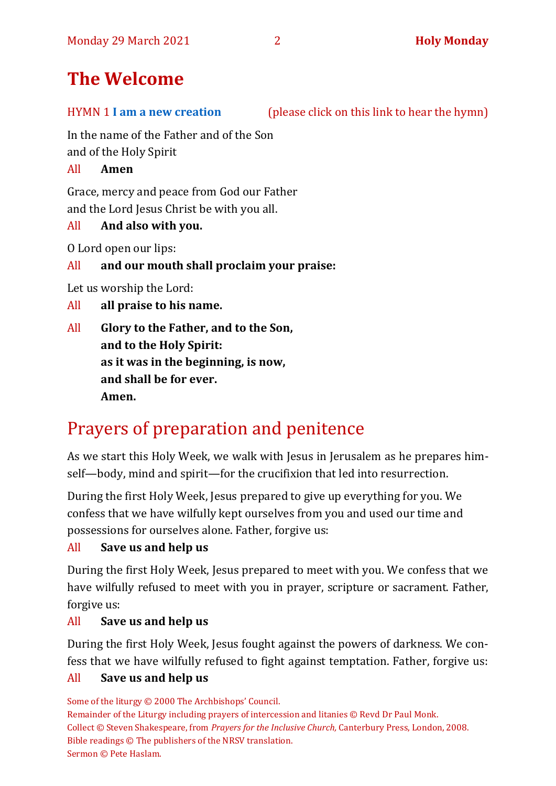# **The Welcome**

HYMN 1 **[I am a new creation](https://www.youtube.com/watch?v=Kt0u2iwmuEA)** (please click on this link to hear the hymn)

In the name of the Father and of the Son and of the Holy Spirit

#### All **Amen**

Grace, mercy and peace from God our Father and the Lord Jesus Christ be with you all.

## All **And also with you.**

O Lord open our lips:

All **and our mouth shall proclaim your praise:**

Let us worship the Lord:

All **all praise to his name.**

All **Glory to the Father, and to the Son, and to the Holy Spirit: as it was in the beginning, is now, and shall be for ever. Amen.**

# Prayers of preparation and penitence

As we start this Holy Week, we walk with Jesus in Jerusalem as he prepares himself—body, mind and spirit—for the crucifixion that led into resurrection.

During the first Holy Week, Jesus prepared to give up everything for you. We confess that we have wilfully kept ourselves from you and used our time and possessions for ourselves alone. Father, forgive us:

# All **Save us and help us**

During the first Holy Week, Jesus prepared to meet with you. We confess that we have wilfully refused to meet with you in prayer, scripture or sacrament. Father, forgive us:

## All **Save us and help us**

During the first Holy Week, Jesus fought against the powers of darkness. We confess that we have wilfully refused to fight against temptation. Father, forgive us:

## All **Save us and help us**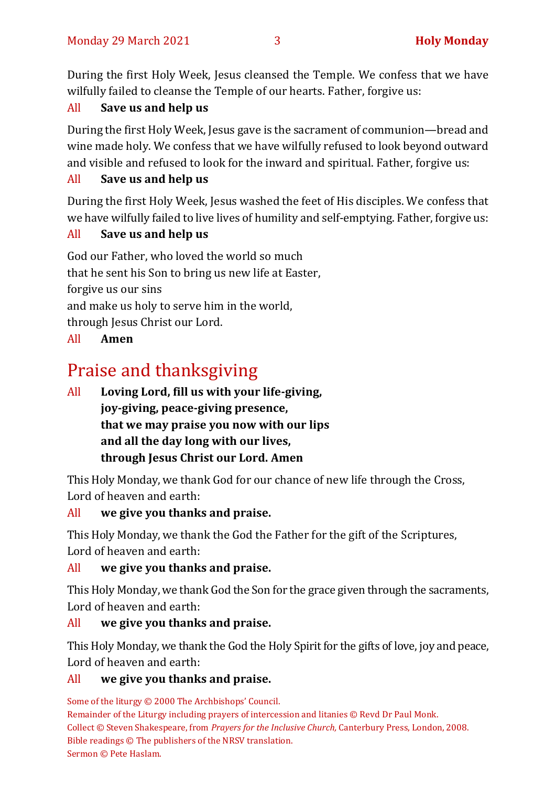During the first Holy Week, Jesus cleansed the Temple. We confess that we have wilfully failed to cleanse the Temple of our hearts. Father, forgive us:

# All **Save us and help us**

During the first Holy Week, Jesus gave is the sacrament of communion—bread and wine made holy. We confess that we have wilfully refused to look beyond outward and visible and refused to look for the inward and spiritual. Father, forgive us:

# All **Save us and help us**

During the first Holy Week, Jesus washed the feet of His disciples. We confess that we have wilfully failed to live lives of humility and self-emptying. Father, forgive us:

# All **Save us and help us**

God our Father, who loved the world so much that he sent his Son to bring us new life at Easter, forgive us our sins and make us holy to serve him in the world, through Jesus Christ our Lord. All **Amen**

# Praise and thanksgiving

All **Loving Lord, fill us with your life-giving, joy-giving, peace-giving presence, that we may praise you now with our lips and all the day long with our lives, through Jesus Christ our Lord. Amen**

This Holy Monday, we thank God for our chance of new life through the Cross, Lord of heaven and earth:

# All **we give you thanks and praise.**

This Holy Monday, we thank the God the Father for the gift of the Scriptures, Lord of heaven and earth:

# All **we give you thanks and praise.**

This Holy Monday, we thank God the Son for the grace given through the sacraments, Lord of heaven and earth:

# All **we give you thanks and praise.**

This Holy Monday, we thank the God the Holy Spirit for the gifts of love, joy and peace, Lord of heaven and earth:

# All **we give you thanks and praise.**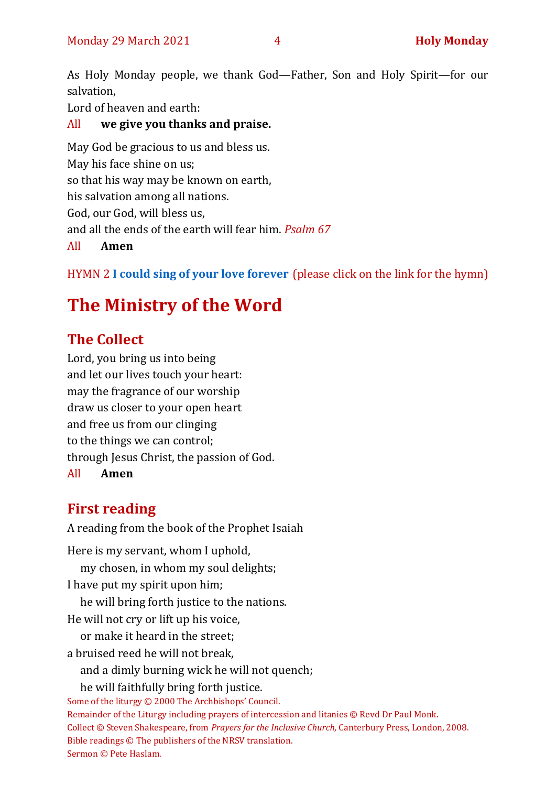As Holy Monday people, we thank God—Father, Son and Holy Spirit—for our salvation,

Lord of heaven and earth:

#### All **we give you thanks and praise.**

May God be gracious to us and bless us. May his face shine on us; so that his way may be known on earth, his salvation among all nations. God, our God, will bless us, and all the ends of the earth will fear him. *Psalm 67* All **Amen**

HYMN 2 **[I could sing of your love forever](https://www.youtube.com/watch?v=zeCwwaciAA8)** (please click on the link for the hymn)

# **The Ministry of the Word**

# **The Collect**

Lord, you bring us into being and let our lives touch your heart: may the fragrance of our worship draw us closer to your open heart and free us from our clinging to the things we can control; through Jesus Christ, the passion of God.

All **Amen**

# **First reading**

A reading from the book of the Prophet Isaiah Here is my servant, whom I uphold,

my chosen, in whom my soul delights;

I have put my spirit upon him;

he will bring forth justice to the nations.

He will not cry or lift up his voice,

or make it heard in the street;

a bruised reed he will not break,

and a dimly burning wick he will not quench;

he will faithfully bring forth justice.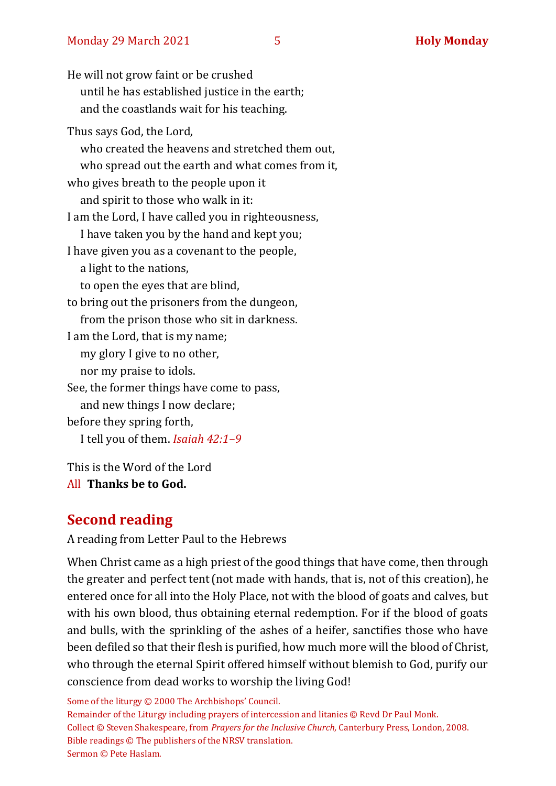He will not grow faint or be crushed until he has established justice in the earth; and the coastlands wait for his teaching. Thus says God, the Lord, who created the heavens and stretched them out, who spread out the earth and what comes from it, who gives breath to the people upon it and spirit to those who walk in it: I am the Lord, I have called you in righteousness, I have taken you by the hand and kept you; I have given you as a covenant to the people, a light to the nations, to open the eyes that are blind, to bring out the prisoners from the dungeon, from the prison those who sit in darkness. I am the Lord, that is my name; my glory I give to no other, nor my praise to idols. See, the former things have come to pass, and new things I now declare; before they spring forth, I tell you of them. *Isaiah 42:1–9*

This is the Word of the Lord All **Thanks be to God.**

# **Second reading**

A reading from Letter Paul to the Hebrews

When Christ came as a high priest of the good things that have come, then through the greater and perfect tent(not made with hands, that is, not of this creation), he entered once for all into the Holy Place, not with the blood of goats and calves, but with his own blood, thus obtaining eternal redemption. For if the blood of goats and bulls, with the sprinkling of the ashes of a heifer, sanctifies those who have been defiled so that their flesh is purified, how much more will the blood of Christ, who through the eternal Spirit offered himself without blemish to God, purify our conscience from dead works to worship the living God!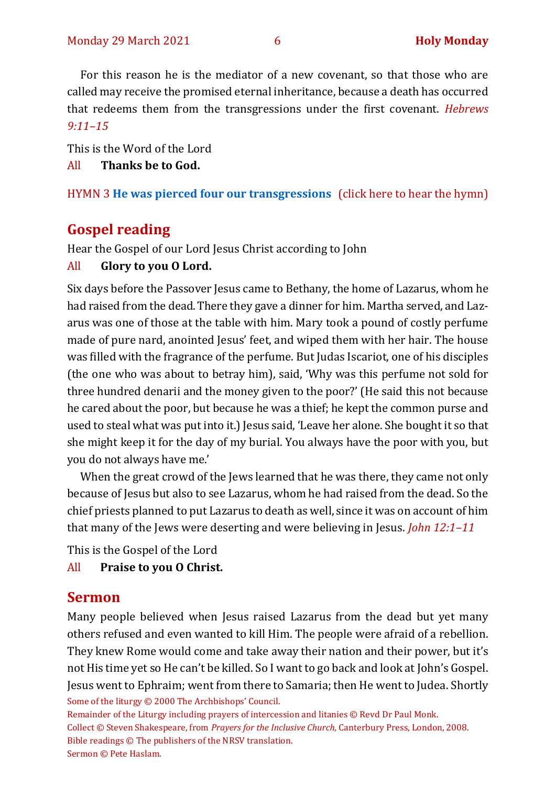For this reason he is the mediator of a new covenant, so that those who are called may receive the promised eternal inheritance, because a death has occurred that redeems them from the transgressions under the first covenant. *Hebrews 9:11–15*

This is the Word of the Lord

All **Thanks be to God.**

HYMN 3 **[He was pierced four our transgressions](https://www.youtube.com/watch?v=QzdYPWgzrrc)** (click here to hear the hymn)

# **Gospel reading**

Hear the Gospel of our Lord Jesus Christ according to John

#### All **Glory to you O Lord.**

Six days before the Passover Jesus came to Bethany, the home of Lazarus, whom he had raised from the dead.There they gave a dinner for him. Martha served, and Lazarus was one of those at the table with him. Mary took a pound of costly perfume made of pure nard, anointed Jesus' feet, and wiped them with her hair. The house was filled with the fragrance of the perfume. But Judas Iscariot, one of his disciples (the one who was about to betray him), said, 'Why was this perfume not sold for three hundred denarii and the money given to the poor?' (He said this not because he cared about the poor, but because he was a thief; he kept the common purse and used to steal what was put into it.) Jesus said, 'Leave her alone. She bought it so that she might keep it for the day of my burial. You always have the poor with you, but you do not always have me.'

When the great crowd of the Jews learned that he was there, they came not only because of Jesus but also to see Lazarus, whom he had raised from the dead. So the chief priests planned to put Lazarus to death as well, since it was on account of him that many of the Jews were deserting and were believing in Jesus. *John 12:1–11*

This is the Gospel of the Lord

All **Praise to you O Christ.** 

# **Sermon**

Some of the liturgy © 2000 The Archbishops' Council. Many people believed when Jesus raised Lazarus from the dead but yet many others refused and even wanted to kill Him. The people were afraid of a rebellion. They knew Rome would come and take away their nation and their power, but it's not His time yet so He can't be killed. So I want to go back and look at John's Gospel. Jesus went to Ephraim; went from there to Samaria; then He went to Judea. Shortly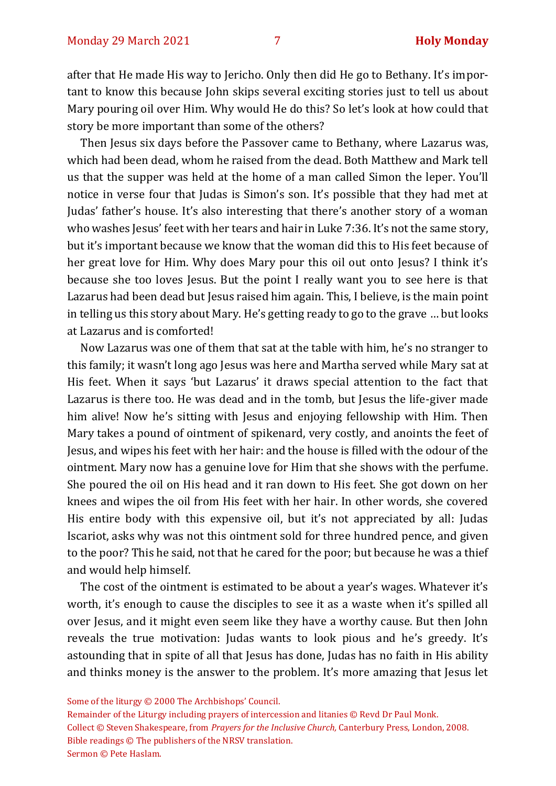after that He made His way to Jericho. Only then did He go to Bethany. It's important to know this because John skips several exciting stories just to tell us about Mary pouring oil over Him. Why would He do this? So let's look at how could that story be more important than some of the others?

Then Jesus six days before the Passover came to Bethany, where Lazarus was, which had been dead, whom he raised from the dead. Both Matthew and Mark tell us that the supper was held at the home of a man called Simon the leper. You'll notice in verse four that Judas is Simon's son. It's possible that they had met at Judas' father's house. It's also interesting that there's another story of a woman who washes Jesus' feet with her tears and hair in Luke 7:36. It's not the same story, but it's important because we know that the woman did this to His feet because of her great love for Him. Why does Mary pour this oil out onto Jesus? I think it's because she too loves Jesus. But the point I really want you to see here is that Lazarus had been dead but Jesus raised him again. This, I believe, is the main point in telling us this story about Mary. He's getting ready to go to the grave … but looks at Lazarus and is comforted!

Now Lazarus was one of them that sat at the table with him, he's no stranger to this family; it wasn't long ago Jesus was here and Martha served while Mary sat at His feet. When it says 'but Lazarus' it draws special attention to the fact that Lazarus is there too. He was dead and in the tomb, but Jesus the life-giver made him alive! Now he's sitting with Jesus and enjoying fellowship with Him. Then Mary takes a pound of ointment of spikenard, very costly, and anoints the feet of Jesus, and wipes his feet with her hair: and the house is filled with the odour of the ointment. Mary now has a genuine love for Him that she shows with the perfume. She poured the oil on His head and it ran down to His feet. She got down on her knees and wipes the oil from His feet with her hair. In other words, she covered His entire body with this expensive oil, but it's not appreciated by all: Judas Iscariot, asks why was not this ointment sold for three hundred pence, and given to the poor? This he said, not that he cared for the poor; but because he was a thief and would help himself.

The cost of the ointment is estimated to be about a year's wages. Whatever it's worth, it's enough to cause the disciples to see it as a waste when it's spilled all over Jesus, and it might even seem like they have a worthy cause. But then John reveals the true motivation: Judas wants to look pious and he's greedy. It's astounding that in spite of all that Jesus has done, Judas has no faith in His ability and thinks money is the answer to the problem. It's more amazing that Jesus let

Some of the liturgy © 2000 The Archbishops' Council.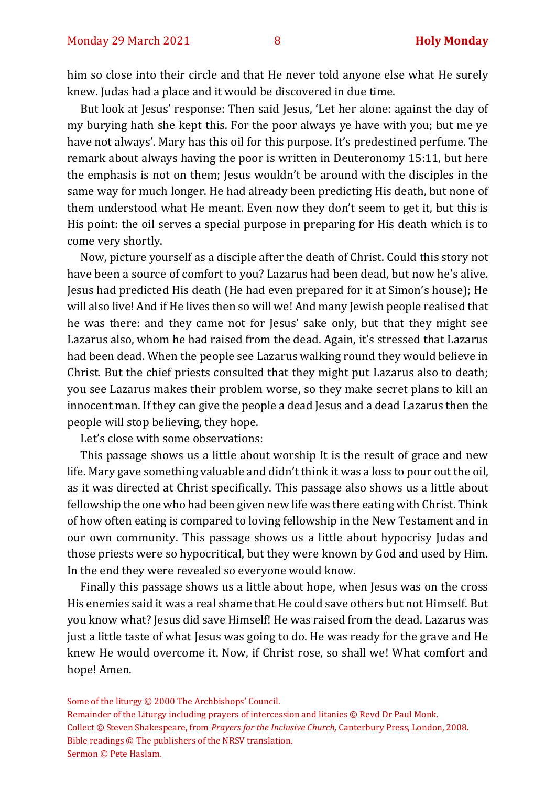him so close into their circle and that He never told anyone else what He surely knew. Judas had a place and it would be discovered in due time.

But look at Jesus' response: Then said Jesus, 'Let her alone: against the day of my burying hath she kept this. For the poor always ye have with you; but me ye have not always'. Mary has this oil for this purpose. It's predestined perfume. The remark about always having the poor is written in Deuteronomy 15:11, but here the emphasis is not on them; Jesus wouldn't be around with the disciples in the same way for much longer. He had already been predicting His death, but none of them understood what He meant. Even now they don't seem to get it, but this is His point: the oil serves a special purpose in preparing for His death which is to come very shortly.

Now, picture yourself as a disciple after the death of Christ. Could this story not have been a source of comfort to you? Lazarus had been dead, but now he's alive. Jesus had predicted His death (He had even prepared for it at Simon's house); He will also live! And if He lives then so will we! And many Jewish people realised that he was there: and they came not for Jesus' sake only, but that they might see Lazarus also, whom he had raised from the dead. Again, it's stressed that Lazarus had been dead. When the people see Lazarus walking round they would believe in Christ. But the chief priests consulted that they might put Lazarus also to death; you see Lazarus makes their problem worse, so they make secret plans to kill an innocent man. If they can give the people a dead Jesus and a dead Lazarus then the people will stop believing, they hope.

Let's close with some observations:

This passage shows us a little about worship It is the result of grace and new life. Mary gave something valuable and didn't think it was a loss to pour out the oil, as it was directed at Christ specifically. This passage also shows us a little about fellowship the one who had been given new life was there eating with Christ. Think of how often eating is compared to loving fellowship in the New Testament and in our own community. This passage shows us a little about hypocrisy Judas and those priests were so hypocritical, but they were known by God and used by Him. In the end they were revealed so everyone would know.

Finally this passage shows us a little about hope, when Jesus was on the cross His enemies said it was a real shame that He could save others but not Himself. But you know what? Jesus did save Himself! He was raised from the dead. Lazarus was just a little taste of what Jesus was going to do. He was ready for the grave and He knew He would overcome it. Now, if Christ rose, so shall we! What comfort and hope! Amen.

Some of the liturgy © 2000 The Archbishops' Council.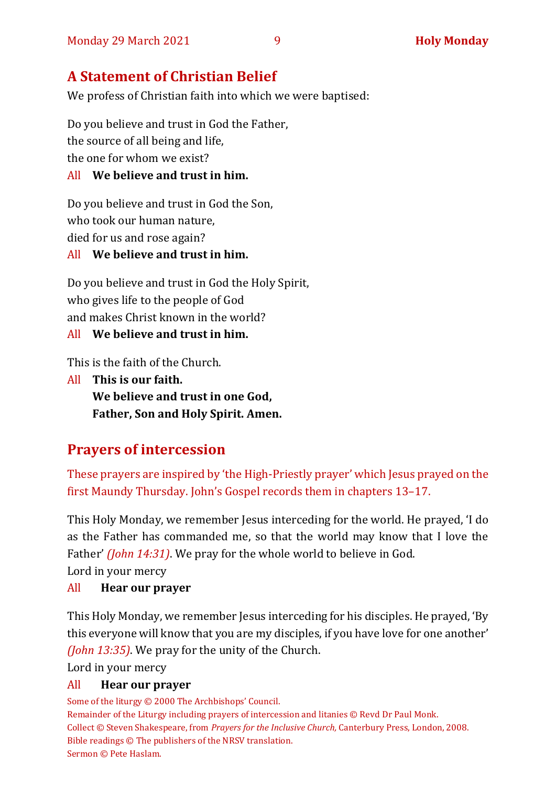# **A Statement of Christian Belief**

We profess of Christian faith into which we were baptised:

Do you believe and trust in God the Father,

the source of all being and life,

the one for whom we exist?

## All **We believe and trust in him.**

Do you believe and trust in God the Son, who took our human nature, died for us and rose again?

## All **We believe and trust in him.**

Do you believe and trust in God the Holy Spirit, who gives life to the people of God and makes Christ known in the world?

## All **We believe and trust in him.**

This is the faith of the Church.

All **This is our faith. We believe and trust in one God, Father, Son and Holy Spirit. Amen.**

# **Prayers of intercession**

These prayers are inspired by 'the High-Priestly prayer' which Jesus prayed on the first Maundy Thursday. John's Gospel records them in chapters 13–17.

This Holy Monday, we remember Jesus interceding for the world. He prayed, 'I do as the Father has commanded me, so that the world may know that I love the Father' *(John 14:31)*. We pray for the whole world to believe in God.

Lord in your mercy

## All **Hear our prayer**

This Holy Monday, we remember Jesus interceding for his disciples. He prayed, 'By this everyone will know that you are my disciples, if you have love for one another' *(John 13:35)*. We pray for the unity of the Church.

Lord in your mercy

## All **Hear our prayer**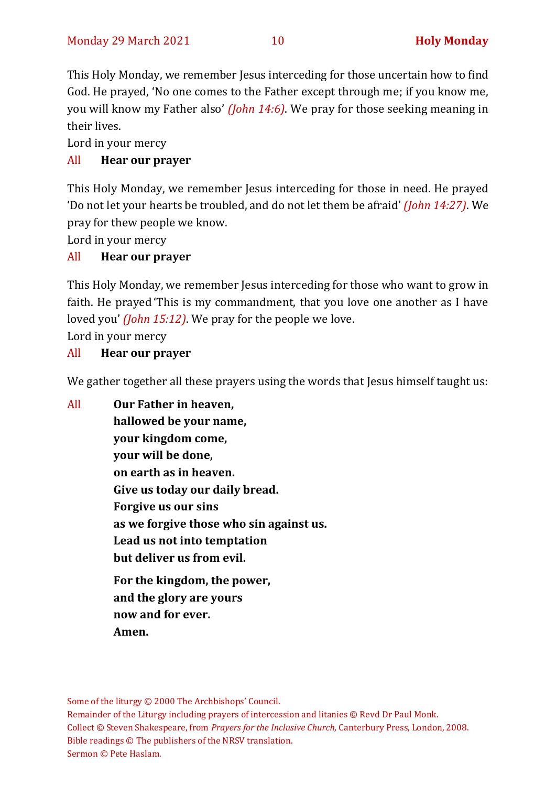This Holy Monday, we remember Jesus interceding for those uncertain how to find God. He prayed, 'No one comes to the Father except through me; if you know me, you will know my Father also' *(John 14:6)*. We pray for those seeking meaning in their lives.

Lord in your mercy

# All **Hear our prayer**

This Holy Monday, we remember Jesus interceding for those in need. He prayed 'Do not let your hearts be troubled, and do not let them be afraid' *(John 14:27)*. We pray for thew people we know.

Lord in your mercy

## All **Hear our prayer**

This Holy Monday, we remember Jesus interceding for those who want to grow in faith. He prayed 'This is my commandment, that you love one another as I have loved you' *(John 15:12)*. We pray for the people we love.

Lord in your mercy

## All **Hear our prayer**

We gather together all these prayers using the words that Jesus himself taught us:

All **Our Father in heaven, hallowed be your name, your kingdom come, your will be done, on earth as in heaven. Give us today our daily bread. Forgive us our sins as we forgive those who sin against us. Lead us not into temptation but deliver us from evil. For the kingdom, the power, and the glory are yours now and for ever. Amen.**

Some of the liturgy © 2000 The Archbishops' Council.

Remainder of the Liturgy including prayers of intercession and litanies © Revd Dr Paul Monk. Collect © Steven Shakespeare, from *Prayers for the Inclusive Church,* Canterbury Press, London, 2008. Bible readings © The publishers of the NRSV translation. Sermon © Pete Haslam.